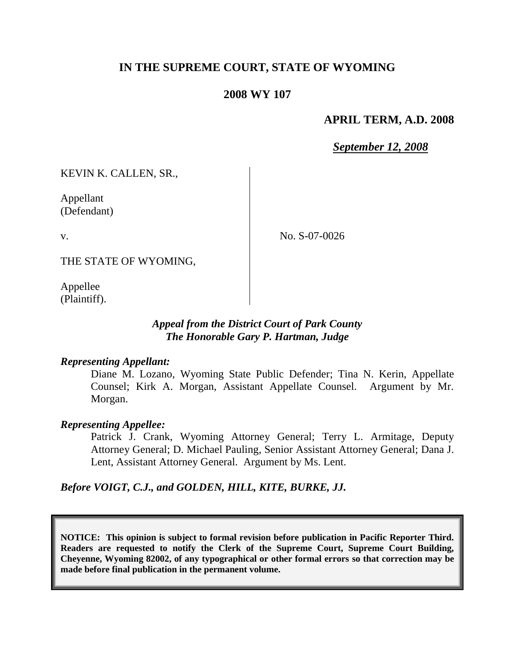# **IN THE SUPREME COURT, STATE OF WYOMING**

### **2008 WY 107**

### **APRIL TERM, A.D. 2008**

*September 12, 2008*

KEVIN K. CALLEN, SR.,

Appellant (Defendant)

v.

No. S-07-0026

THE STATE OF WYOMING,

Appellee (Plaintiff).

## *Appeal from the District Court of Park County The Honorable Gary P. Hartman, Judge*

#### *Representing Appellant:*

Diane M. Lozano, Wyoming State Public Defender; Tina N. Kerin, Appellate Counsel; Kirk A. Morgan, Assistant Appellate Counsel. Argument by Mr. Morgan.

#### *Representing Appellee:*

Patrick J. Crank, Wyoming Attorney General; Terry L. Armitage, Deputy Attorney General; D. Michael Pauling, Senior Assistant Attorney General; Dana J. Lent, Assistant Attorney General. Argument by Ms. Lent.

*Before VOIGT, C.J., and GOLDEN, HILL, KITE, BURKE, JJ.*

**NOTICE: This opinion is subject to formal revision before publication in Pacific Reporter Third. Readers are requested to notify the Clerk of the Supreme Court, Supreme Court Building, Cheyenne, Wyoming 82002, of any typographical or other formal errors so that correction may be made before final publication in the permanent volume.**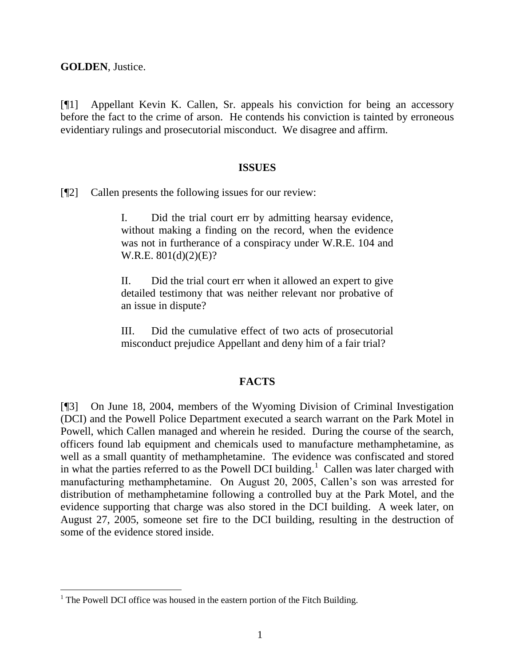**GOLDEN**, Justice.

l

[¶1] Appellant Kevin K. Callen, Sr. appeals his conviction for being an accessory before the fact to the crime of arson. He contends his conviction is tainted by erroneous evidentiary rulings and prosecutorial misconduct. We disagree and affirm.

#### **ISSUES**

[¶2] Callen presents the following issues for our review:

I. Did the trial court err by admitting hearsay evidence, without making a finding on the record, when the evidence was not in furtherance of a conspiracy under W.R.E. 104 and W.R.E. 801(d)(2)(E)?

II. Did the trial court err when it allowed an expert to give detailed testimony that was neither relevant nor probative of an issue in dispute?

III. Did the cumulative effect of two acts of prosecutorial misconduct prejudice Appellant and deny him of a fair trial?

#### **FACTS**

[¶3] On June 18, 2004, members of the Wyoming Division of Criminal Investigation (DCI) and the Powell Police Department executed a search warrant on the Park Motel in Powell, which Callen managed and wherein he resided. During the course of the search, officers found lab equipment and chemicals used to manufacture methamphetamine, as well as a small quantity of methamphetamine. The evidence was confiscated and stored in what the parties referred to as the Powell DCI building.<sup>1</sup> Callen was later charged with manufacturing methamphetamine. On August 20, 2005, Callen's son was arrested for distribution of methamphetamine following a controlled buy at the Park Motel, and the evidence supporting that charge was also stored in the DCI building. A week later, on August 27, 2005, someone set fire to the DCI building, resulting in the destruction of some of the evidence stored inside.

 $1$  The Powell DCI office was housed in the eastern portion of the Fitch Building.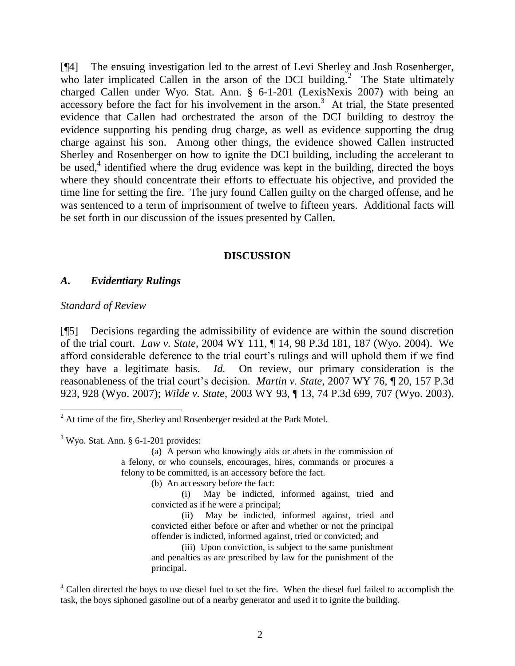[¶4] The ensuing investigation led to the arrest of Levi Sherley and Josh Rosenberger, who later implicated Callen in the arson of the DCI building.<sup>2</sup> The State ultimately charged Callen under Wyo. Stat. Ann. § 6-1-201 (LexisNexis 2007) with being an  $accessory$  before the fact for his involvement in the arson.<sup>3</sup> At trial, the State presented evidence that Callen had orchestrated the arson of the DCI building to destroy the evidence supporting his pending drug charge, as well as evidence supporting the drug charge against his son. Among other things, the evidence showed Callen instructed Sherley and Rosenberger on how to ignite the DCI building, including the accelerant to be used, $4$  identified where the drug evidence was kept in the building, directed the boys where they should concentrate their efforts to effectuate his objective, and provided the time line for setting the fire. The jury found Callen guilty on the charged offense, and he was sentenced to a term of imprisonment of twelve to fifteen years. Additional facts will be set forth in our discussion of the issues presented by Callen.

#### **DISCUSSION**

#### *A. Evidentiary Rulings*

*Standard of Review*

[¶5] Decisions regarding the admissibility of evidence are within the sound discretion of the trial court. *Law v. State*, 2004 WY 111, ¶ 14, 98 P.3d 181, 187 (Wyo. 2004). We afford considerable deference to the trial court's rulings and will uphold them if we find they have a legitimate basis. *Id.* On review, our primary consideration is the reasonableness of the trial court's decision. *Martin v. State*, 2007 WY 76, ¶ 20, 157 P.3d 923, 928 (Wyo. 2007); *Wilde v. State*, 2003 WY 93, ¶ 13, 74 P.3d 699, 707 (Wyo. 2003).

(b) An accessory before the fact:

- (i) May be indicted, informed against, tried and convicted as if he were a principal;
- (ii) May be indicted, informed against, tried and convicted either before or after and whether or not the principal offender is indicted, informed against, tried or convicted; and

(iii) Upon conviction, is subject to the same punishment and penalties as are prescribed by law for the punishment of the principal.

 $2^{2}$  At time of the fire, Sherley and Rosenberger resided at the Park Motel.

 $3$  Wyo. Stat. Ann. § 6-1-201 provides:

<sup>(</sup>a) A person who knowingly aids or abets in the commission of a felony, or who counsels, encourages, hires, commands or procures a felony to be committed, is an accessory before the fact.

<sup>&</sup>lt;sup>4</sup> Callen directed the boys to use diesel fuel to set the fire. When the diesel fuel failed to accomplish the task, the boys siphoned gasoline out of a nearby generator and used it to ignite the building.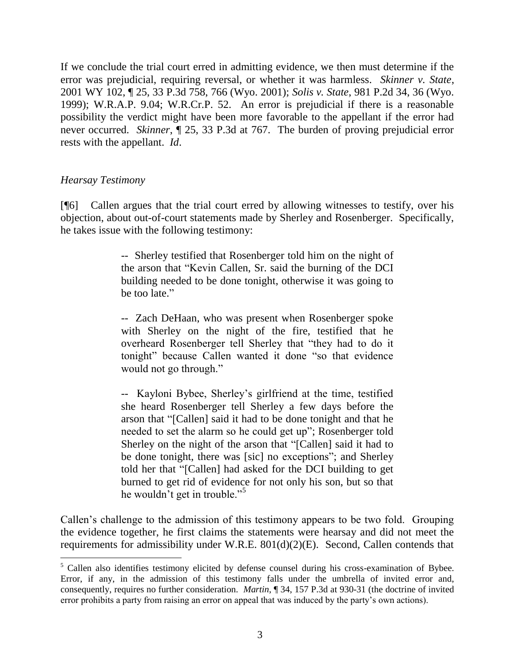If we conclude the trial court erred in admitting evidence, we then must determine if the error was prejudicial, requiring reversal, or whether it was harmless. *Skinner v. State*, 2001 WY 102, ¶ 25, 33 P.3d 758, 766 (Wyo. 2001); *Solis v. State*, 981 P.2d 34, 36 (Wyo. 1999); W.R.A.P. 9.04; W.R.Cr.P. 52. An error is prejudicial if there is a reasonable possibility the verdict might have been more favorable to the appellant if the error had never occurred. *Skinner*, ¶ 25, 33 P.3d at 767. The burden of proving prejudicial error rests with the appellant. *Id*.

## *Hearsay Testimony*

[¶6] Callen argues that the trial court erred by allowing witnesses to testify, over his objection, about out-of-court statements made by Sherley and Rosenberger. Specifically, he takes issue with the following testimony:

> -- Sherley testified that Rosenberger told him on the night of the arson that "Kevin Callen, Sr. said the burning of the DCI building needed to be done tonight, otherwise it was going to be too late."

> -- Zach DeHaan, who was present when Rosenberger spoke with Sherley on the night of the fire, testified that he overheard Rosenberger tell Sherley that "they had to do it tonight" because Callen wanted it done "so that evidence would not go through."

> -- Kayloni Bybee, Sherley's girlfriend at the time, testified she heard Rosenberger tell Sherley a few days before the arson that "[Callen] said it had to be done tonight and that he needed to set the alarm so he could get up"; Rosenberger told Sherley on the night of the arson that "[Callen] said it had to be done tonight, there was [sic] no exceptions"; and Sherley told her that "[Callen] had asked for the DCI building to get burned to get rid of evidence for not only his son, but so that he wouldn't get in trouble."<sup>5</sup>

Callen's challenge to the admission of this testimony appears to be two fold. Grouping the evidence together, he first claims the statements were hearsay and did not meet the requirements for admissibility under W.R.E. 801(d)(2)(E). Second, Callen contends that

<sup>&</sup>lt;sup>5</sup> Callen also identifies testimony elicited by defense counsel during his cross-examination of Bybee. Error, if any, in the admission of this testimony falls under the umbrella of invited error and, consequently, requires no further consideration. *Martin*, ¶ 34, 157 P.3d at 930-31 (the doctrine of invited error prohibits a party from raising an error on appeal that was induced by the party's own actions).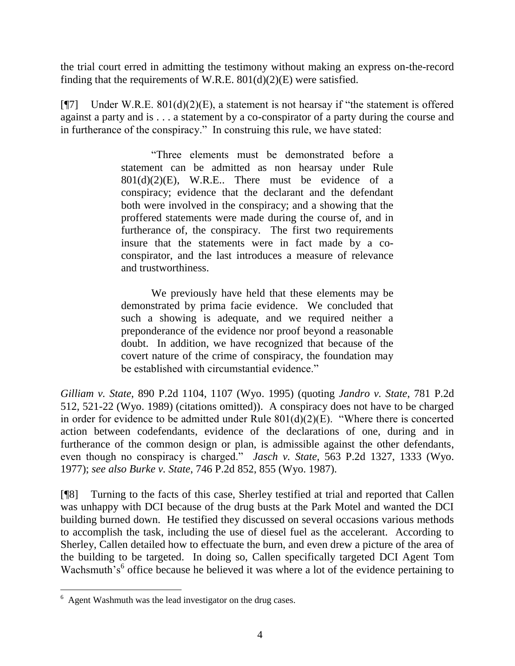the trial court erred in admitting the testimony without making an express on-the-record finding that the requirements of W.R.E.  $801(d)(2)(E)$  were satisfied.

[ $[$ ] Under W.R.E. 801(d)(2)(E), a statement is not hearsay if "the statement is offered against a party and is . . . a statement by a co-conspirator of a party during the course and in furtherance of the conspiracy." In construing this rule, we have stated:

> "Three elements must be demonstrated before a statement can be admitted as non hearsay under Rule  $801(d)(2)(E)$ , W.R.E.. There must be evidence of a conspiracy; evidence that the declarant and the defendant both were involved in the conspiracy; and a showing that the proffered statements were made during the course of, and in furtherance of, the conspiracy. The first two requirements insure that the statements were in fact made by a coconspirator, and the last introduces a measure of relevance and trustworthiness.

> We previously have held that these elements may be demonstrated by prima facie evidence. We concluded that such a showing is adequate, and we required neither a preponderance of the evidence nor proof beyond a reasonable doubt. In addition, we have recognized that because of the covert nature of the crime of conspiracy, the foundation may be established with circumstantial evidence."

*Gilliam v. State*, 890 P.2d 1104, 1107 (Wyo. 1995) (quoting *Jandro v. State*, 781 P.2d 512, 521-22 (Wyo. 1989) (citations omitted)). A conspiracy does not have to be charged in order for evidence to be admitted under Rule  $801(d)(2)(E)$ . "Where there is concerted action between codefendants, evidence of the declarations of one, during and in furtherance of the common design or plan, is admissible against the other defendants, even though no conspiracy is charged." *Jasch v. State*, 563 P.2d 1327, 1333 (Wyo. 1977); *see also Burke v. State*, 746 P.2d 852, 855 (Wyo. 1987).

[¶8] Turning to the facts of this case, Sherley testified at trial and reported that Callen was unhappy with DCI because of the drug busts at the Park Motel and wanted the DCI building burned down. He testified they discussed on several occasions various methods to accomplish the task, including the use of diesel fuel as the accelerant. According to Sherley, Callen detailed how to effectuate the burn, and even drew a picture of the area of the building to be targeted. In doing so, Callen specifically targeted DCI Agent Tom Wachsmuth's<sup>6</sup> office because he believed it was where a lot of the evidence pertaining to

l

<sup>6</sup> Agent Washmuth was the lead investigator on the drug cases.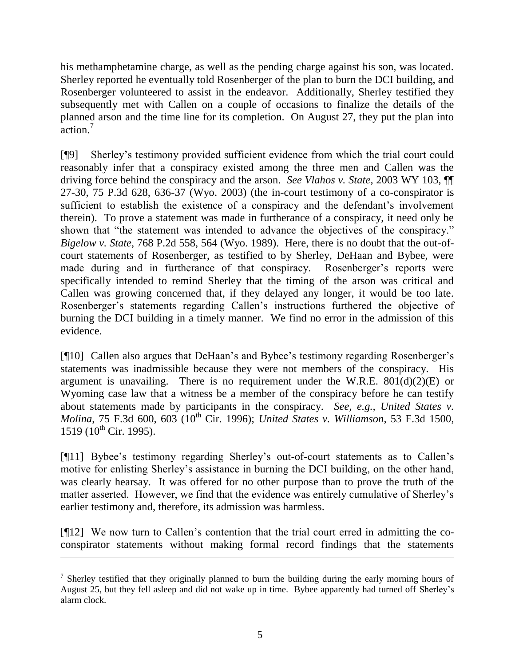his methamphetamine charge, as well as the pending charge against his son, was located. Sherley reported he eventually told Rosenberger of the plan to burn the DCI building, and Rosenberger volunteered to assist in the endeavor. Additionally, Sherley testified they subsequently met with Callen on a couple of occasions to finalize the details of the planned arson and the time line for its completion. On August 27, they put the plan into action.<sup>7</sup>

[¶9] Sherley's testimony provided sufficient evidence from which the trial court could reasonably infer that a conspiracy existed among the three men and Callen was the driving force behind the conspiracy and the arson. *See Vlahos v. State*, 2003 WY 103, ¶¶ 27-30, 75 P.3d 628, 636-37 (Wyo. 2003) (the in-court testimony of a co-conspirator is sufficient to establish the existence of a conspiracy and the defendant's involvement therein). To prove a statement was made in furtherance of a conspiracy, it need only be shown that "the statement was intended to advance the objectives of the conspiracy." *Bigelow v. State*, 768 P.2d 558, 564 (Wyo. 1989). Here, there is no doubt that the out-ofcourt statements of Rosenberger, as testified to by Sherley, DeHaan and Bybee, were made during and in furtherance of that conspiracy. Rosenberger's reports were specifically intended to remind Sherley that the timing of the arson was critical and Callen was growing concerned that, if they delayed any longer, it would be too late. Rosenberger's statements regarding Callen's instructions furthered the objective of burning the DCI building in a timely manner. We find no error in the admission of this evidence.

[¶10] Callen also argues that DeHaan's and Bybee's testimony regarding Rosenberger's statements was inadmissible because they were not members of the conspiracy. His argument is unavailing. There is no requirement under the W.R.E.  $801(d)(2)(E)$  or Wyoming case law that a witness be a member of the conspiracy before he can testify about statements made by participants in the conspiracy. *See, e.g., United States v. Molina*, 75 F.3d 600, 603 (10th Cir. 1996); *United States v. Williamson*, 53 F.3d 1500, 1519 (10<sup>th</sup> Cir. 1995).

[¶11] Bybee's testimony regarding Sherley's out-of-court statements as to Callen's motive for enlisting Sherley's assistance in burning the DCI building, on the other hand, was clearly hearsay. It was offered for no other purpose than to prove the truth of the matter asserted. However, we find that the evidence was entirely cumulative of Sherley's earlier testimony and, therefore, its admission was harmless.

[¶12] We now turn to Callen's contention that the trial court erred in admitting the coconspirator statements without making formal record findings that the statements

 $<sup>7</sup>$  Sherley testified that they originally planned to burn the building during the early morning hours of</sup> August 25, but they fell asleep and did not wake up in time. Bybee apparently had turned off Sherley's alarm clock.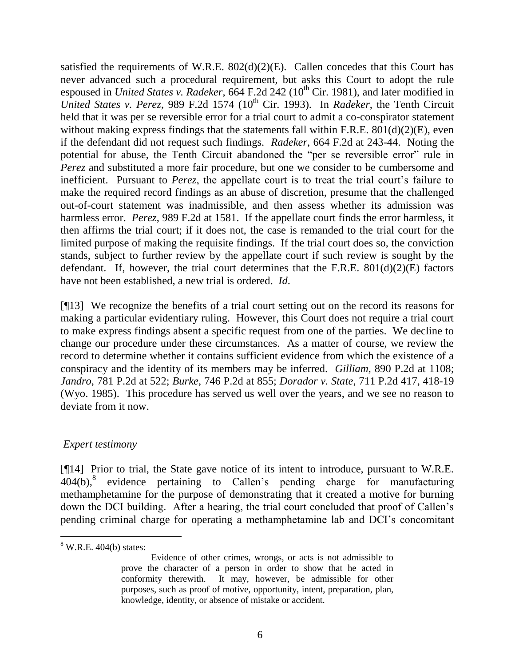satisfied the requirements of W.R.E.  $802(d)(2)(E)$ . Callen concedes that this Court has never advanced such a procedural requirement, but asks this Court to adopt the rule espoused in *United States v. Radeker*, 664 F.2d 242 (10<sup>th</sup> Cir. 1981), and later modified in United States v. Perez, 989 F.2d 1574 (10<sup>th</sup> Cir. 1993). In *Radeker*, the Tenth Circuit held that it was per se reversible error for a trial court to admit a co-conspirator statement without making express findings that the statements fall within F.R.E.  $801(d)(2)(E)$ , even if the defendant did not request such findings. *Radeker*, 664 F.2d at 243-44. Noting the potential for abuse, the Tenth Circuit abandoned the "per se reversible error" rule in *Perez* and substituted a more fair procedure, but one we consider to be cumbersome and inefficient. Pursuant to *Perez*, the appellate court is to treat the trial court's failure to make the required record findings as an abuse of discretion, presume that the challenged out-of-court statement was inadmissible, and then assess whether its admission was harmless error. *Perez*, 989 F.2d at 1581. If the appellate court finds the error harmless, it then affirms the trial court; if it does not, the case is remanded to the trial court for the limited purpose of making the requisite findings. If the trial court does so, the conviction stands, subject to further review by the appellate court if such review is sought by the defendant. If, however, the trial court determines that the F.R.E.  $801(d)(2)(E)$  factors have not been established, a new trial is ordered. *Id*.

[¶13] We recognize the benefits of a trial court setting out on the record its reasons for making a particular evidentiary ruling. However, this Court does not require a trial court to make express findings absent a specific request from one of the parties. We decline to change our procedure under these circumstances. As a matter of course, we review the record to determine whether it contains sufficient evidence from which the existence of a conspiracy and the identity of its members may be inferred. *Gilliam*, 890 P.2d at 1108; *Jandro*, 781 P.2d at 522; *Burke*, 746 P.2d at 855; *Dorador v. State*, 711 P.2d 417, 418-19 (Wyo. 1985). This procedure has served us well over the years, and we see no reason to deviate from it now.

#### *Expert testimony*

[¶14] Prior to trial, the State gave notice of its intent to introduce, pursuant to W.R.E.  $404(b)$ ,<sup>8</sup> evidence pertaining to Callen's pending charge for manufacturing methamphetamine for the purpose of demonstrating that it created a motive for burning down the DCI building. After a hearing, the trial court concluded that proof of Callen's pending criminal charge for operating a methamphetamine lab and DCI's concomitant

 $\overline{a}$ 

 $8$  W.R.E. 404(b) states:

Evidence of other crimes, wrongs, or acts is not admissible to prove the character of a person in order to show that he acted in conformity therewith. It may, however, be admissible for other purposes, such as proof of motive, opportunity, intent, preparation, plan, knowledge, identity, or absence of mistake or accident.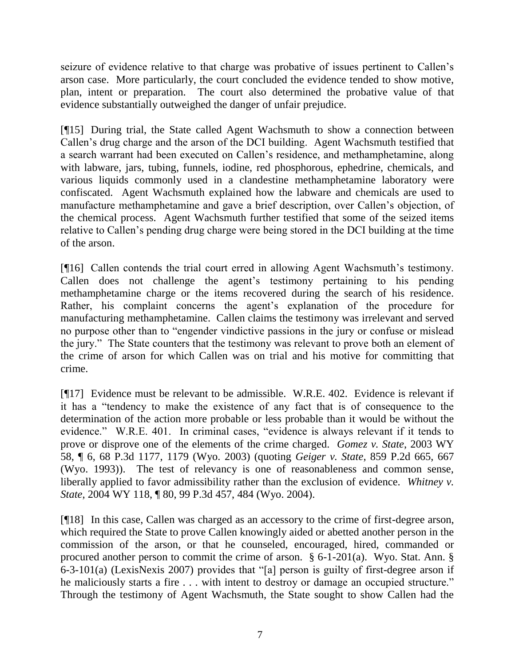seizure of evidence relative to that charge was probative of issues pertinent to Callen's arson case. More particularly, the court concluded the evidence tended to show motive, plan, intent or preparation. The court also determined the probative value of that evidence substantially outweighed the danger of unfair prejudice.

[¶15] During trial, the State called Agent Wachsmuth to show a connection between Callen's drug charge and the arson of the DCI building. Agent Wachsmuth testified that a search warrant had been executed on Callen's residence, and methamphetamine, along with labware, jars, tubing, funnels, iodine, red phosphorous, ephedrine, chemicals, and various liquids commonly used in a clandestine methamphetamine laboratory were confiscated. Agent Wachsmuth explained how the labware and chemicals are used to manufacture methamphetamine and gave a brief description, over Callen's objection, of the chemical process. Agent Wachsmuth further testified that some of the seized items relative to Callen's pending drug charge were being stored in the DCI building at the time of the arson.

[¶16] Callen contends the trial court erred in allowing Agent Wachsmuth's testimony. Callen does not challenge the agent's testimony pertaining to his pending methamphetamine charge or the items recovered during the search of his residence. Rather, his complaint concerns the agent's explanation of the procedure for manufacturing methamphetamine. Callen claims the testimony was irrelevant and served no purpose other than to "engender vindictive passions in the jury or confuse or mislead the jury." The State counters that the testimony was relevant to prove both an element of the crime of arson for which Callen was on trial and his motive for committing that crime.

[¶17] Evidence must be relevant to be admissible. W.R.E. 402. Evidence is relevant if it has a "tendency to make the existence of any fact that is of consequence to the determination of the action more probable or less probable than it would be without the evidence." W.R.E. 401. In criminal cases, "evidence is always relevant if it tends to prove or disprove one of the elements of the crime charged. *Gomez v. State*, 2003 WY 58, ¶ 6, 68 P.3d 1177, 1179 (Wyo. 2003) (quoting *Geiger v. State*, 859 P.2d 665, 667 (Wyo. 1993)). The test of relevancy is one of reasonableness and common sense, liberally applied to favor admissibility rather than the exclusion of evidence. *Whitney v. State*, 2004 WY 118, ¶ 80, 99 P.3d 457, 484 (Wyo. 2004).

[¶18] In this case, Callen was charged as an accessory to the crime of first-degree arson, which required the State to prove Callen knowingly aided or abetted another person in the commission of the arson, or that he counseled, encouraged, hired, commanded or procured another person to commit the crime of arson. § 6-1-201(a). Wyo. Stat. Ann. § 6-3-101(a) (LexisNexis 2007) provides that "[a] person is guilty of first-degree arson if he maliciously starts a fire  $\dots$  with intent to destroy or damage an occupied structure." Through the testimony of Agent Wachsmuth, the State sought to show Callen had the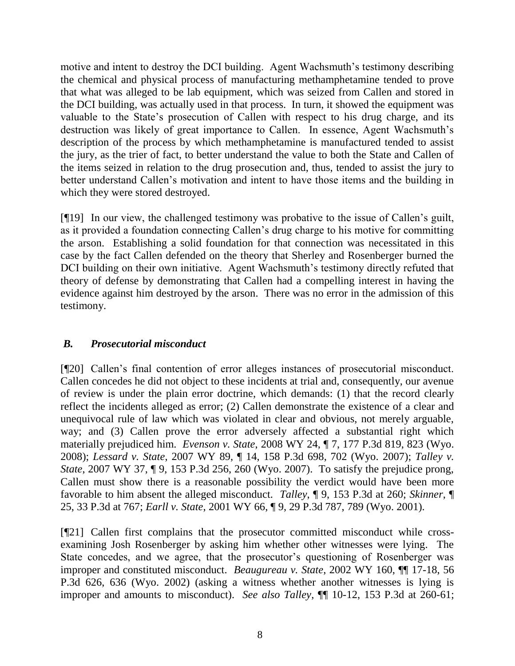motive and intent to destroy the DCI building. Agent Wachsmuth's testimony describing the chemical and physical process of manufacturing methamphetamine tended to prove that what was alleged to be lab equipment, which was seized from Callen and stored in the DCI building, was actually used in that process. In turn, it showed the equipment was valuable to the State's prosecution of Callen with respect to his drug charge, and its destruction was likely of great importance to Callen. In essence, Agent Wachsmuth's description of the process by which methamphetamine is manufactured tended to assist the jury, as the trier of fact, to better understand the value to both the State and Callen of the items seized in relation to the drug prosecution and, thus, tended to assist the jury to better understand Callen's motivation and intent to have those items and the building in which they were stored destroyed.

[¶19] In our view, the challenged testimony was probative to the issue of Callen's guilt, as it provided a foundation connecting Callen's drug charge to his motive for committing the arson. Establishing a solid foundation for that connection was necessitated in this case by the fact Callen defended on the theory that Sherley and Rosenberger burned the DCI building on their own initiative. Agent Wachsmuth's testimony directly refuted that theory of defense by demonstrating that Callen had a compelling interest in having the evidence against him destroyed by the arson. There was no error in the admission of this testimony.

## *B. Prosecutorial misconduct*

[¶20] Callen's final contention of error alleges instances of prosecutorial misconduct. Callen concedes he did not object to these incidents at trial and, consequently, our avenue of review is under the plain error doctrine, which demands: (1) that the record clearly reflect the incidents alleged as error; (2) Callen demonstrate the existence of a clear and unequivocal rule of law which was violated in clear and obvious, not merely arguable, way; and (3) Callen prove the error adversely affected a substantial right which materially prejudiced him. *Evenson v. State*, 2008 WY 24, ¶ 7, 177 P.3d 819, 823 (Wyo. 2008); *Lessard v. State*, 2007 WY 89, ¶ 14, 158 P.3d 698, 702 (Wyo. 2007); *Talley v. State*, 2007 WY 37, ¶ 9, 153 P.3d 256, 260 (Wyo. 2007). To satisfy the prejudice prong, Callen must show there is a reasonable possibility the verdict would have been more favorable to him absent the alleged misconduct. *Talley*, ¶ 9, 153 P.3d at 260; *Skinner*, ¶ 25, 33 P.3d at 767; *Earll v. State*, 2001 WY 66, ¶ 9, 29 P.3d 787, 789 (Wyo. 2001).

[¶21] Callen first complains that the prosecutor committed misconduct while crossexamining Josh Rosenberger by asking him whether other witnesses were lying. The State concedes, and we agree, that the prosecutor's questioning of Rosenberger was improper and constituted misconduct. *Beaugureau v. State*, 2002 WY 160, ¶¶ 17-18, 56 P.3d 626, 636 (Wyo. 2002) (asking a witness whether another witnesses is lying is improper and amounts to misconduct). *See also Talley*, ¶¶ 10-12, 153 P.3d at 260-61;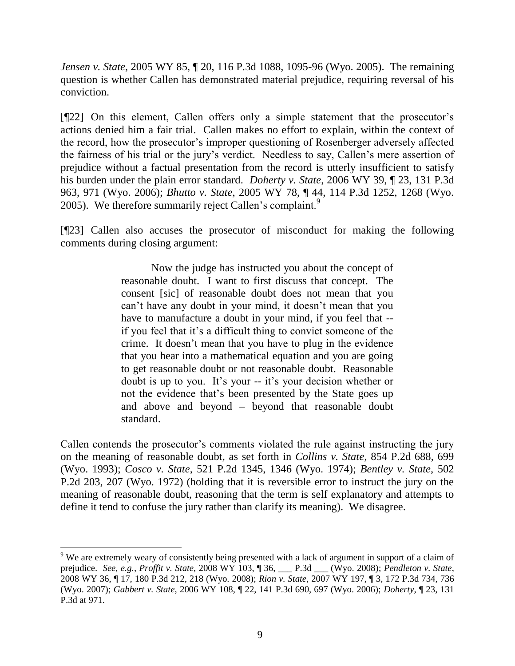*Jensen v. State*, 2005 WY 85, ¶ 20, 116 P.3d 1088, 1095-96 (Wyo. 2005). The remaining question is whether Callen has demonstrated material prejudice, requiring reversal of his conviction.

[¶22] On this element, Callen offers only a simple statement that the prosecutor's actions denied him a fair trial. Callen makes no effort to explain, within the context of the record, how the prosecutor's improper questioning of Rosenberger adversely affected the fairness of his trial or the jury's verdict. Needless to say, Callen's mere assertion of prejudice without a factual presentation from the record is utterly insufficient to satisfy his burden under the plain error standard. *Doherty v. State*, 2006 WY 39, ¶ 23, 131 P.3d 963, 971 (Wyo. 2006); *Bhutto v. State*, 2005 WY 78, ¶ 44, 114 P.3d 1252, 1268 (Wyo. 2005). We therefore summarily reject Callen's complaint.<sup>9</sup>

[¶23] Callen also accuses the prosecutor of misconduct for making the following comments during closing argument:

> Now the judge has instructed you about the concept of reasonable doubt. I want to first discuss that concept. The consent [sic] of reasonable doubt does not mean that you can't have any doubt in your mind, it doesn't mean that you have to manufacture a doubt in your mind, if you feel that - if you feel that it's a difficult thing to convict someone of the crime. It doesn't mean that you have to plug in the evidence that you hear into a mathematical equation and you are going to get reasonable doubt or not reasonable doubt. Reasonable doubt is up to you. It's your -- it's your decision whether or not the evidence that's been presented by the State goes up and above and beyond – beyond that reasonable doubt standard.

Callen contends the prosecutor's comments violated the rule against instructing the jury on the meaning of reasonable doubt, as set forth in *Collins v. State*, 854 P.2d 688, 699 (Wyo. 1993); *Cosco v. State*, 521 P.2d 1345, 1346 (Wyo. 1974); *Bentley v. State*, 502 P.2d 203, 207 (Wyo. 1972) (holding that it is reversible error to instruct the jury on the meaning of reasonable doubt, reasoning that the term is self explanatory and attempts to define it tend to confuse the jury rather than clarify its meaning). We disagree.

  $9$  We are extremely weary of consistently being presented with a lack of argument in support of a claim of prejudice. *See, e.g., Proffit v. State*, 2008 WY 103, ¶ 36, \_\_\_ P.3d \_\_\_ (Wyo. 2008); *Pendleton v. State*, 2008 WY 36, ¶ 17, 180 P.3d 212, 218 (Wyo. 2008); *Rion v. State*, 2007 WY 197, ¶ 3, 172 P.3d 734, 736 (Wyo. 2007); *Gabbert v. State*, 2006 WY 108, ¶ 22, 141 P.3d 690, 697 (Wyo. 2006); *Doherty*, ¶ 23, 131 P.3d at 971.